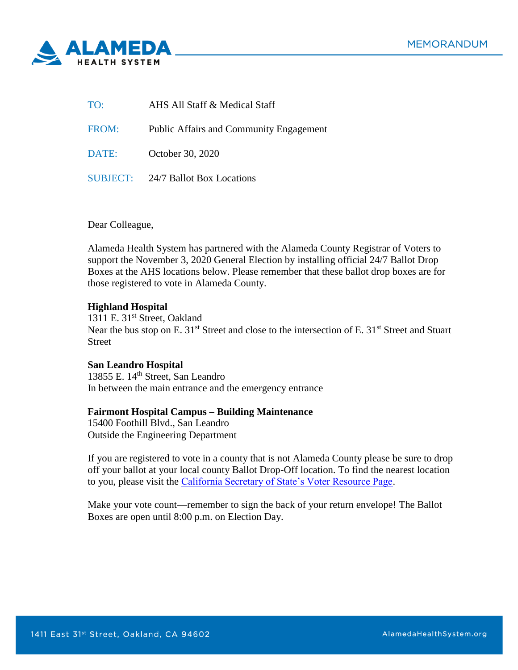

| TO:   | AHS All Staff & Medical Staff                  |
|-------|------------------------------------------------|
| FROM: | <b>Public Affairs and Community Engagement</b> |
| DATE: | October 30, 2020                               |
|       | SUBJECT: 24/7 Ballot Box Locations             |

Dear Colleague,

Alameda Health System has partnered with the Alameda County Registrar of Voters to support the November 3, 2020 General Election by installing official 24/7 Ballot Drop Boxes at the AHS locations below. Please remember that these ballot drop boxes are for those registered to vote in Alameda County.

## **Highland Hospital**

1311 E. 31<sup>st</sup> Street, Oakland Near the bus stop on E. 31<sup>st</sup> Street and close to the intersection of E. 31<sup>st</sup> Street and Stuart Street

## **San Leandro Hospital**

13855 E. 14<sup>th</sup> Street, San Leandro In between the main entrance and the emergency entrance

## **Fairmont Hospital Campus – Building Maintenance**

15400 Foothill Blvd., San Leandro Outside the Engineering Department

If you are registered to vote in a county that is not Alameda County please be sure to drop off your ballot at your local county Ballot Drop-Off location. To find the nearest location to you, please visit the [California Secretary of State's Voter Resource Page.](https://caearlyvoting.sos.ca.gov/)

Make your vote count—remember to sign the back of your return envelope! The Ballot Boxes are open until 8:00 p.m. on Election Day.